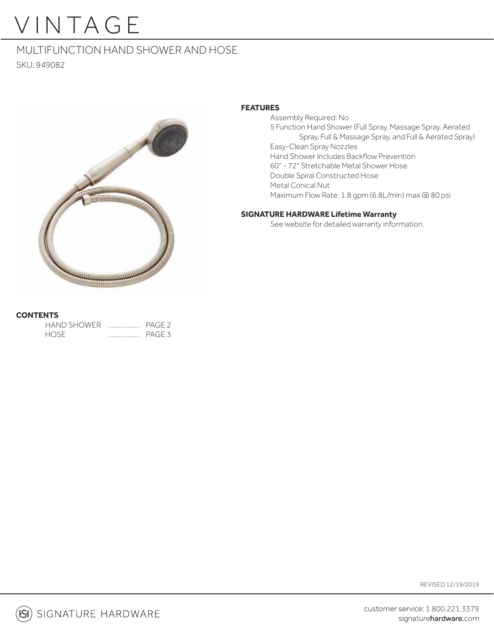# **VINTAGE**

### MULTIFUNCTION HAND SHOWER AND HOSE

SKU: 949082



#### **FEATURES**

 Assembly Required: No 5 Function Hand Shower (Full Spray, Massage Spray, Aerated Spray, Full & Massage Spray, and Full & Aerated Spray) Easy-Clean Spray Nozzles Hand Shower Includes Backflow Prevention 60" - 72" Stretchable Metal Shower Hose Double Spiral Constructed Hose Metal Conical Nut Maximum Flow Rate: 1.8 gpm (6.8L/min) max @ 80 psi

#### **SIGNATURE HARDWARE Lifetime Warranty**

See website for detailed warranty information.

#### **CONTENTS**

| <b>HAND SHOWER</b> | . | PAGE <sub>2</sub> |
|--------------------|---|-------------------|
| <b>HOSE</b>        | . | PAGE <sub>3</sub> |

REVISED 12/19/2019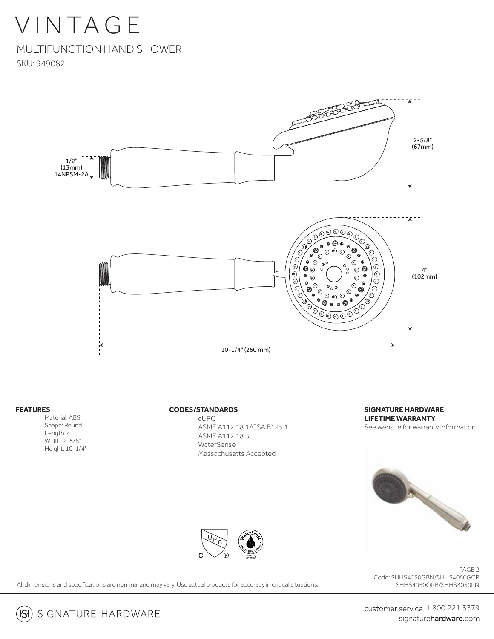## **VINTAGE**

### MULTIFUNCTION HAND SHOWER

SKU: 949082



#### **FEATURES**

 Material: ABS Shape: Round Length: 4" Width: 2-5/8" Height: 10-1/4"

#### **CODES/STANDARDS**

 cUPC ASME A112.18.1/CSA B125.1 ASME A112.18.3 **WaterSense** Massachusetts Accepted

**SIGNATURE HARDWARE LIFETIME WARRANTY** See website for warranty information





PAGE 2 Code: SHHS4050GBN/SHHS4050GCP SHHS4050ORB/SHHS4050PN

All dimensions and specifications are nominal and may vary. Use actual products for accuracy in critical situations.

SIGNATURE HARDWARE  $(SI)$ 

customer service 1.800.221.3379 signaturehardware.com